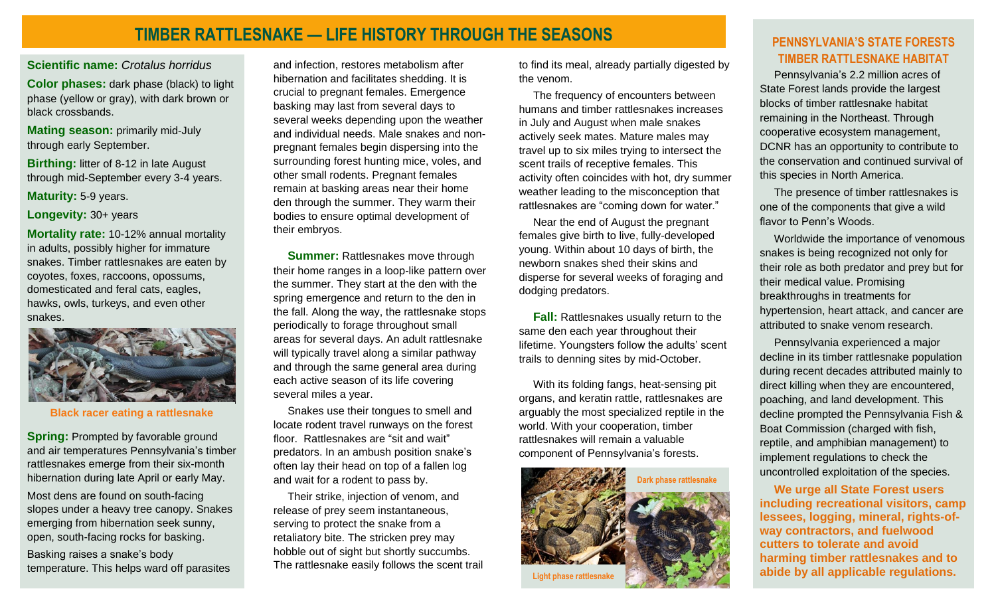## **TIMBER RATTLESNAKE — LIFE HISTORY THROUGH THE SEASONS**

**Scientific name:** *Crotalus horridus*

**Color phases:** dark phase (black) to light phase (yellow or gray), with dark brown or black crossbands.

**Mating season:** primarily mid-July through early September.

**Birthing:** litter of 8-12 in late August through mid-September every 3-4 years.

**Maturity:** 5-9 years.

**Longevity:** 30+ years

**Mortality rate:** 10-12% annual mortality in adults, possibly higher for immature snakes. Timber rattlesnakes are eaten by coyotes, foxes, raccoons, opossums, domesticated and feral cats, eagles, hawks, owls, turkeys, and even other snakes.



**Black racer eating a rattlesnake**

**Spring:** Prompted by favorable ground and air temperatures Pennsylvania's timber rattlesnakes emerge from their six-month hibernation during late April or early May.

Most dens are found on south-facing slopes under a heavy tree canopy. Snakes emerging from hibernation seek sunny, open, south-facing rocks for basking.

Basking raises a snake's body temperature. This helps ward off parasites

and infection, restores metabolism after hibernation and facilitates shedding. It is crucial to pregnant females. Emergence basking may last from several days to several weeks depending upon the weather and individual needs. Male snakes and nonpregnant females begin dispersing into the surrounding forest hunting mice, voles, and other small rodents. Pregnant females remain at basking areas near their home den through the summer. They warm their bodies to ensure optimal development of their embryos.

**Summer:** Rattlesnakes move through their home ranges in a loop-like pattern over the summer. They start at the den with the spring emergence and return to the den in the fall. Along the way, the rattlesnake stops periodically to forage throughout small areas for several days. An adult rattlesnake will typically travel along a similar pathway and through the same general area during each active season of its life covering several miles a year.

Snakes use their tongues to smell and locate rodent travel runways on the forest floor. Rattlesnakes are "sit and wait" predators. In an ambush position snake's often lay their head on top of a fallen log and wait for a rodent to pass by.

Their strike, injection of venom, and release of prey seem instantaneous, serving to protect the snake from a retaliatory bite. The stricken prey may hobble out of sight but shortly succumbs. The rattlesnake easily follows the scent trail to find its meal, already partially digested by the venom.

The frequency of encounters between humans and timber rattlesnakes increases in July and August when male snakes actively seek mates. Mature males may travel up to six miles trying to intersect the scent trails of receptive females. This activity often coincides with hot, dry summer weather leading to the misconception that rattlesnakes are "coming down for water."

Near the end of August the pregnant females give birth to live, fully-developed young. Within about 10 days of birth, the newborn snakes shed their skins and disperse for several weeks of foraging and dodging predators.

**Fall:** Rattlesnakes usually return to the same den each year throughout their lifetime. Youngsters follow the adults' scent trails to denning sites by mid-October.

With its folding fangs, heat-sensing pit organs, and keratin rattle, rattlesnakes are arguably the most specialized reptile in the world. With your cooperation, timber rattlesnakes will remain a valuable component of Pennsylvania's forests.



#### **PENNSYLVANIA'S STATE FORESTS TIMBER RATTLESNAKE HABITAT**

Pennsylvania's 2.2 million acres of State Forest lands provide the largest blocks of timber rattlesnake habitat remaining in the Northeast. Through cooperative ecosystem management, DCNR has an opportunity to contribute to the conservation and continued survival of this species in North America.

The presence of timber rattlesnakes is one of the components that give a wild flavor to Penn's Woods.

Worldwide the importance of venomous snakes is being recognized not only for their role as both predator and prey but for their medical value. Promising breakthroughs in treatments for hypertension, heart attack, and cancer are attributed to snake venom research.

Pennsylvania experienced a major decline in its timber rattlesnake population during recent decades attributed mainly to direct killing when they are encountered, poaching, and land development. This decline prompted the Pennsylvania Fish & Boat Commission (charged with fish, reptile, and amphibian management) to implement regulations to check the uncontrolled exploitation of the species.

**We urge all State Forest users including recreational visitors, camp lessees, logging, mineral, rights-ofway contractors, and fuelwood cutters to tolerate and avoid harming timber rattlesnakes and to abide by all applicable regulations.**